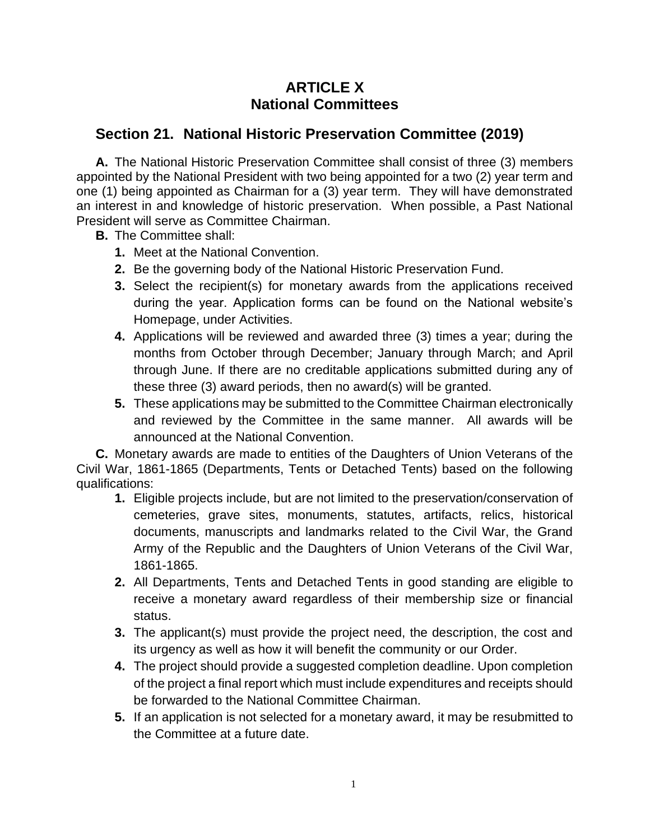## **ARTICLE X National Committees**

## **Section 21. National Historic Preservation Committee (2019)**

**A.** The National Historic Preservation Committee shall consist of three (3) members appointed by the National President with two being appointed for a two (2) year term and one (1) being appointed as Chairman for a (3) year term. They will have demonstrated an interest in and knowledge of historic preservation. When possible, a Past National President will serve as Committee Chairman.

- **B.** The Committee shall:
	- **1.** Meet at the National Convention.
	- **2.** Be the governing body of the National Historic Preservation Fund.
	- **3.** Select the recipient(s) for monetary awards from the applications received during the year. Application forms can be found on the National website's Homepage, under Activities.
	- **4.** Applications will be reviewed and awarded three (3) times a year; during the months from October through December; January through March; and April through June. If there are no creditable applications submitted during any of these three (3) award periods, then no award(s) will be granted.
	- **5.** These applications may be submitted to the Committee Chairman electronically and reviewed by the Committee in the same manner. All awards will be announced at the National Convention.

**C.** Monetary awards are made to entities of the Daughters of Union Veterans of the Civil War, 1861-1865 (Departments, Tents or Detached Tents) based on the following qualifications:

- **1.** Eligible projects include, but are not limited to the preservation/conservation of cemeteries, grave sites, monuments, statutes, artifacts, relics, historical documents, manuscripts and landmarks related to the Civil War, the Grand Army of the Republic and the Daughters of Union Veterans of the Civil War, 1861-1865.
- **2.** All Departments, Tents and Detached Tents in good standing are eligible to receive a monetary award regardless of their membership size or financial status.
- **3.** The applicant(s) must provide the project need, the description, the cost and its urgency as well as how it will benefit the community or our Order.
- **4.** The project should provide a suggested completion deadline. Upon completion of the project a final report which must include expenditures and receipts should be forwarded to the National Committee Chairman.
- **5.** If an application is not selected for a monetary award, it may be resubmitted to the Committee at a future date.